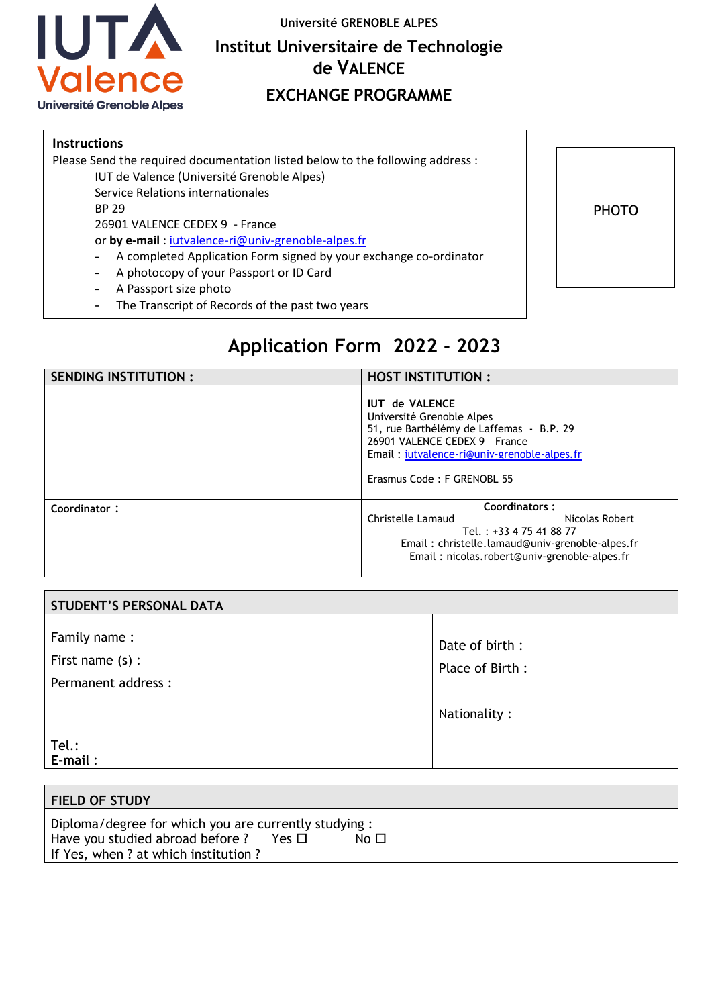

**Université GRENOBLE ALPES**

## **Institut Universitaire de Technologie de VALENCE**

## **EXCHANGE PROGRAMME**

## **Instructions**

Please Send the required documentation listed below to the following address : IUT de Valence (Université Grenoble Alpes)<br>Secondo Paletico e internationale

Service Relations internationales

BP 29

26901 VALENCE CEDEX 9 - France

or by e-mail : jutvalence-ri@univ-grenoble-alpes.fr

- A completed Application Form signed by your exchange co-ordinator
- A photocopy of your Passport or ID Card
- A Passport size photo
- The Transcript of Records of the past two years



## **Application Form 2022 - 2023**

| SENDING INSTITUTION : | <b>HOST INSTITUTION:</b>                                                                                                                                                                                      |
|-----------------------|---------------------------------------------------------------------------------------------------------------------------------------------------------------------------------------------------------------|
|                       | <b>IUT de VALENCE</b><br>Université Grenoble Alpes<br>51, rue Barthélémy de Laffemas - B.P. 29<br>26901 VALENCE CEDEX 9 - France<br>Email: iutvalence-ri@univ-grenoble-alpes.fr<br>Erasmus Code: F GRENOBL 55 |
| Coordinator:          | Coordinators:<br>Christelle Lamaud<br>Nicolas Robert<br>Tel.: +33 4 75 41 88 77<br>Email: christelle.lamaud@univ-grenoble-alpes.fr<br>Email: nicolas.robert@univ-grenoble-alpes.fr                            |

| <b>STUDENT'S PERSONAL DATA</b>                            |                                   |
|-----------------------------------------------------------|-----------------------------------|
| Family name:<br>First name $(s)$ :<br>Permanent address : | Date of birth:<br>Place of Birth: |
|                                                           | Nationality:                      |
| Tel.:<br>$E$ -mail:                                       |                                   |

| <b>FIELD OF STUDY</b>                                |      |  |
|------------------------------------------------------|------|--|
| Diploma/degree for which you are currently studying: |      |  |
| Have you studied abroad before?<br>Yes □             | No □ |  |
| If Yes, when ? at which institution ?                |      |  |